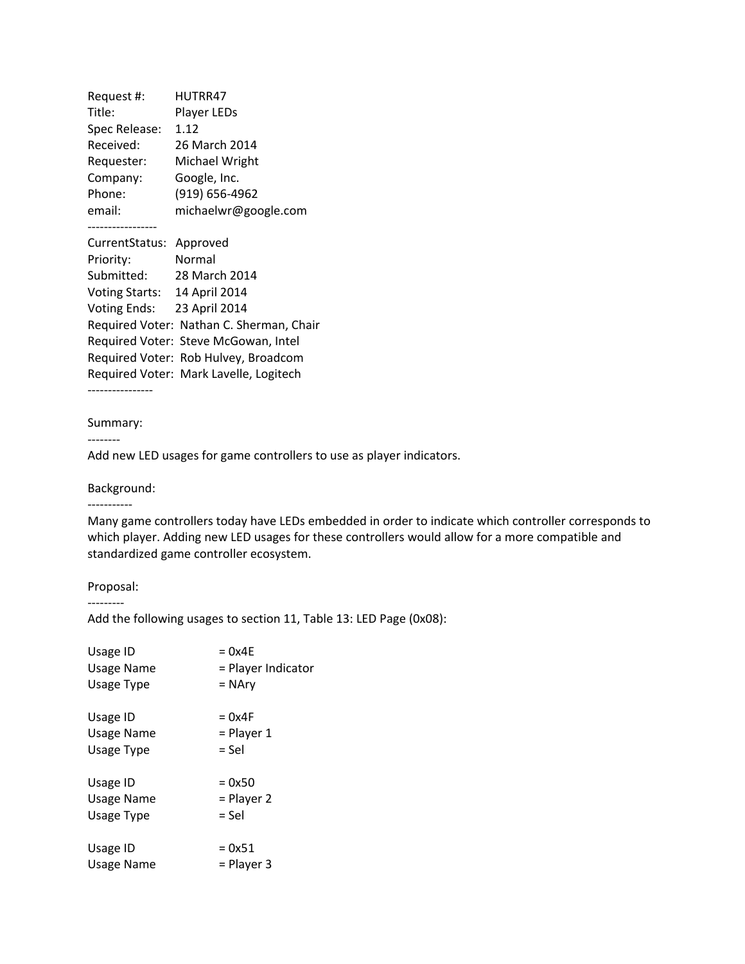| Request #:                           | HUTRR47                                  |  |
|--------------------------------------|------------------------------------------|--|
| Title:                               | Player LEDs                              |  |
| Spec Release:                        | 1.12                                     |  |
| Received:                            | 26 March 2014                            |  |
| Requester:                           | Michael Wright                           |  |
| Company:                             | Google, Inc.                             |  |
| Phone:                               | (919) 656-4962                           |  |
| email:                               | michaelwr@google.com                     |  |
|                                      |                                          |  |
| CurrentStatus:                       | Approved                                 |  |
| Priority:                            | Normal                                   |  |
| Submitted:                           | 28 March 2014                            |  |
| Voting Starts: 14 April 2014         |                                          |  |
| Voting Ends: 23 April 2014           |                                          |  |
|                                      | Required Voter: Nathan C. Sherman, Chair |  |
|                                      | Required Voter: Steve McGowan, Intel     |  |
| Required Voter: Rob Hulvey, Broadcom |                                          |  |
|                                      | Required Voter: Mark Lavelle, Logitech   |  |
|                                      |                                          |  |

## Summary:

‐‐‐‐‐‐‐‐

Add new LED usages for game controllers to use as player indicators.

## Background:

‐‐‐‐‐‐‐‐‐‐‐

Many game controllers today have LEDs embedded in order to indicate which controller corresponds to which player. Adding new LED usages for these controllers would allow for a more compatible and standardized game controller ecosystem.

## Proposal:

‐‐‐‐‐‐‐‐‐

Add the following usages to section 11, Table 13: LED Page (0x08):

| Usage ID   | $= 0x4E$           |
|------------|--------------------|
| Usage Name | = Player Indicator |
| Usage Type | = NAry             |
| Usage ID   | $= 0x4F$           |
| Usage Name | $=$ Player 1       |
| Usage Type | = Sel              |
| Usage ID   | $= 0x50$           |
| Usage Name | $=$ Player 2       |
| Usage Type | = Sel              |
| Usage ID   | $= 0x51$           |
| Usage Name | = Player 3         |
|            |                    |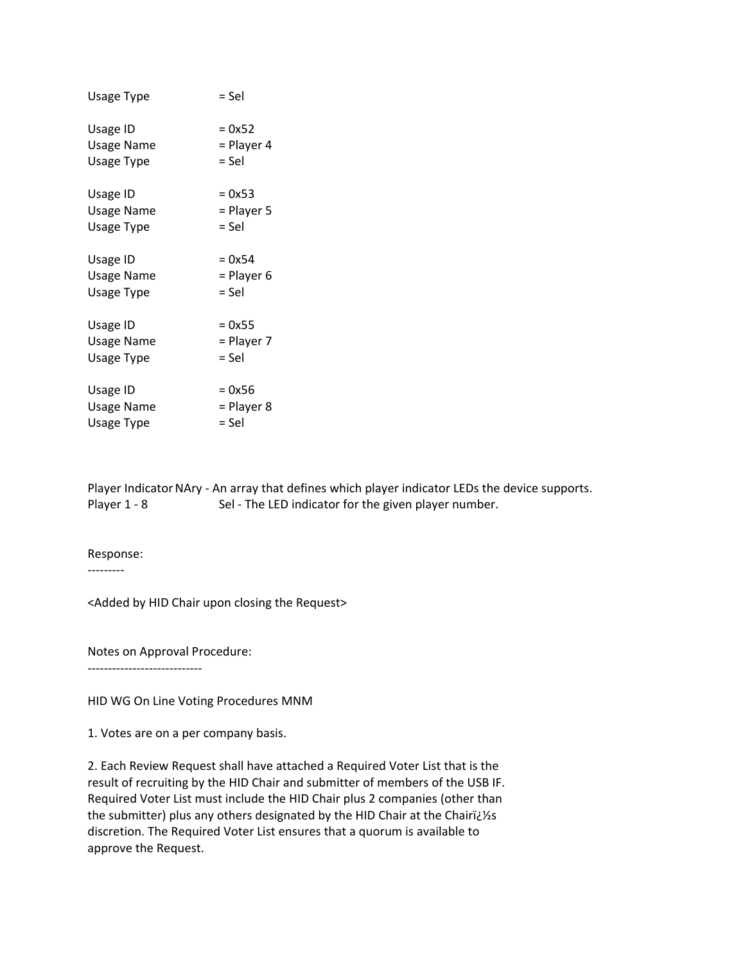| Usage Type | = Sel        |
|------------|--------------|
| Usage ID   | $= 0x52$     |
| Usage Name | $=$ Player 4 |
| Usage Type | = Sel        |
| Usage ID   | $= 0x53$     |
| Usage Name | = Player 5   |
| Usage Type | = Sel        |
| Usage ID   | $= 0x54$     |
| Usage Name | = Player 6   |
| Usage Type | = Sel        |
| Usage ID   | $= 0x55$     |
| Usage Name | = Player 7   |
| Usage Type | = Sel        |
| Usage ID   | $= 0x56$     |
| Usage Name | = Player 8   |
| Usage Type | = Sel        |

Player Indicator NAry - An array that defines which player indicator LEDs the device supports. Player 1 - 8 Sel - The LED indicator for the given player number.

Response:

‐‐‐‐‐‐‐‐‐

<Added by HID Chair upon closing the Request>

Notes on Approval Procedure:

‐‐‐‐‐‐‐‐‐‐‐‐‐‐‐‐‐‐‐‐‐‐‐‐‐‐‐‐

HID WG On Line Voting Procedures MNM

1. Votes are on a per company basis.

2. Each Review Request shall have attached a Required Voter List that is the result of recruiting by the HID Chair and submitter of members of the USB IF. Required Voter List must include the HID Chair plus 2 companies (other than the submitter) plus any others designated by the HID Chair at the Chairï¿1/2s discretion. The Required Voter List ensures that a quorum is available to approve the Request.